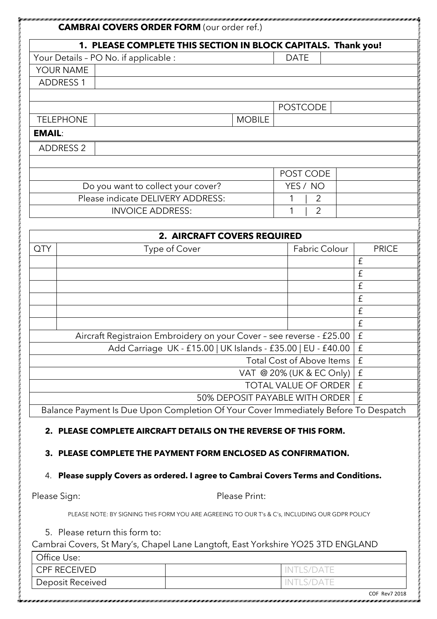|                             |                     | <b>CAMBRAI COVERS ORDER FORM (our order ref.)</b>                                              |                                                              |                                |                 |                   |  |              |  |
|-----------------------------|---------------------|------------------------------------------------------------------------------------------------|--------------------------------------------------------------|--------------------------------|-----------------|-------------------|--|--------------|--|
|                             |                     | 1. PLEASE COMPLETE THIS SECTION IN BLOCK CAPITALS. Thank you!                                  |                                                              |                                |                 |                   |  |              |  |
|                             |                     | Your Details - PO No. if applicable :                                                          |                                                              |                                | <b>DATE</b>     |                   |  |              |  |
|                             | YOUR NAME           |                                                                                                |                                                              |                                |                 |                   |  |              |  |
|                             | <b>ADDRESS 1</b>    |                                                                                                |                                                              |                                |                 |                   |  |              |  |
|                             |                     |                                                                                                |                                                              |                                |                 |                   |  |              |  |
|                             |                     |                                                                                                |                                                              |                                | <b>POSTCODE</b> |                   |  |              |  |
|                             | <b>TELEPHONE</b>    |                                                                                                |                                                              | <b>MOBILE</b>                  |                 |                   |  |              |  |
| <b>EMAIL:</b>               |                     |                                                                                                |                                                              |                                |                 |                   |  |              |  |
|                             | <b>ADDRESS 2</b>    |                                                                                                |                                                              |                                |                 |                   |  |              |  |
|                             |                     |                                                                                                |                                                              |                                |                 |                   |  |              |  |
|                             |                     |                                                                                                |                                                              |                                | POST CODE       |                   |  |              |  |
|                             |                     | Do you want to collect your cover?                                                             |                                                              | YES / NO                       |                 |                   |  |              |  |
|                             |                     | Please indicate DELIVERY ADDRESS:                                                              |                                                              |                                | 1               | 2                 |  |              |  |
|                             |                     | <b>INVOICE ADDRESS:</b>                                                                        |                                                              |                                | 1               | $\overline{2}$    |  |              |  |
|                             |                     |                                                                                                |                                                              |                                |                 |                   |  |              |  |
| 2. AIRCRAFT COVERS REQUIRED |                     |                                                                                                |                                                              |                                |                 |                   |  |              |  |
| QTY                         |                     |                                                                                                | Type of Cover                                                |                                |                 | Fabric Colour     |  | <b>PRICE</b> |  |
|                             |                     |                                                                                                |                                                              |                                |                 |                   |  | £            |  |
|                             |                     |                                                                                                |                                                              |                                |                 |                   |  | £            |  |
|                             |                     |                                                                                                |                                                              |                                |                 |                   |  | £            |  |
|                             |                     |                                                                                                |                                                              |                                |                 |                   |  | £            |  |
|                             |                     |                                                                                                |                                                              |                                |                 |                   |  | £            |  |
|                             |                     |                                                                                                |                                                              |                                |                 |                   |  | £            |  |
|                             |                     | Aircraft Registraion Embroidery on your Cover - see reverse - £25.00                           |                                                              |                                |                 |                   |  | £            |  |
|                             |                     |                                                                                                | Add Carriage UK - £15.00   UK Islands - £35.00   EU - £40.00 |                                |                 |                   |  | £            |  |
|                             |                     |                                                                                                |                                                              | Total Cost of Above Items      |                 |                   |  | £            |  |
|                             |                     |                                                                                                |                                                              | VAT @ 20% (UK & EC Only)       |                 |                   |  | $\rm{f}$     |  |
|                             |                     |                                                                                                |                                                              | <b>TOTAL VALUE OF ORDER</b>    |                 |                   |  | $\mathbf{f}$ |  |
|                             |                     |                                                                                                |                                                              | 50% DEPOSIT PAYABLE WITH ORDER |                 |                   |  | $\mathbf{f}$ |  |
|                             |                     | Balance Payment Is Due Upon Completion Of Your Cover Immediately Before To Despatch            |                                                              |                                |                 |                   |  |              |  |
|                             |                     | 2. PLEASE COMPLETE AIRCRAFT DETAILS ON THE REVERSE OF THIS FORM.                               |                                                              |                                |                 |                   |  |              |  |
|                             |                     |                                                                                                |                                                              |                                |                 |                   |  |              |  |
|                             |                     | 3. PLEASE COMPLETE THE PAYMENT FORM ENCLOSED AS CONFIRMATION.                                  |                                                              |                                |                 |                   |  |              |  |
|                             |                     |                                                                                                |                                                              |                                |                 |                   |  |              |  |
|                             |                     | 4. Please supply Covers as ordered. I agree to Cambrai Covers Terms and Conditions.            |                                                              |                                |                 |                   |  |              |  |
|                             | Please Sign:        |                                                                                                |                                                              | <b>Please Print:</b>           |                 |                   |  |              |  |
|                             |                     | PLEASE NOTE: BY SIGNING THIS FORM YOU ARE AGREEING TO OUR T's & C's, INCLUDING OUR GDPR POLICY |                                                              |                                |                 |                   |  |              |  |
|                             |                     | 5. Please return this form to:                                                                 |                                                              |                                |                 |                   |  |              |  |
|                             |                     | Cambrai Covers, St Mary's, Chapel Lane Langtoft, East Yorkshire YO25 3TD ENGLAND               |                                                              |                                |                 |                   |  |              |  |
|                             | Office Use:         |                                                                                                |                                                              |                                |                 |                   |  |              |  |
|                             | <b>CPF RECEIVED</b> |                                                                                                |                                                              |                                |                 | <b>INTLS/DATE</b> |  |              |  |
| Deposit Received            |                     |                                                                                                | <b>INTLS/DATE</b>                                            |                                |                 |                   |  |              |  |